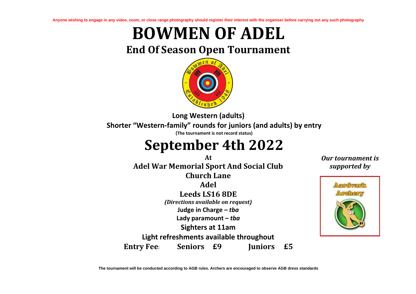**Anyone wishing to engage in any video, zoom, or close range photography should register their interest with the organiser before carrying out any such photography**

## **BOWMEN OF ADEL**

## **End Of Season Open Tournament**



**Long Western (adults) Shorter "Western-family" rounds for juniors (and adults) by entry (The tournament is not record status)**

## **September 4th 2022**

**At** *Our tournament is*  **Adel War Memorial Sport And Social Club** *supported by* **Church Lane Adel Leeds LS16 8DE** *(Directions available on request)* **Judge in Charge –** *tba* **Lady paramount –** *tba* **Sighters at 11am Light refreshments available throughout Entry Fee**: **Seniors £9 Juniors £5**



**The tournament will be conducted according to AGB rules. Archers are encouraged to observe AGB dress standards**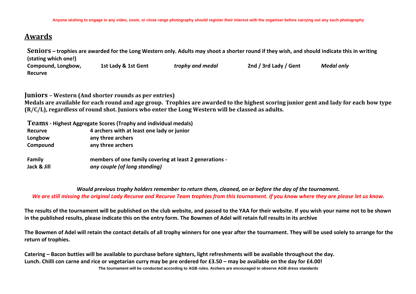## **Awards**

**Seniors – trophies are awarded for the Long Western only. Adults may shoot a shorter round if they wish, and should indicate this in writing (stating which one!) Compound, Longbow, Recurve 1st Lady & 1st Gent** *trophy and medal* **2nd / 3rd Lady / Gent** *Medal only*

**Juniors – Western (And shorter rounds as per entries) Medals are available for each round and age group. Trophies are awarded to the highest scoring junior gent and lady for each bow type (R/C/L), regardless of round shot. Juniors who enter the Long Western will be classed as adults.**

|               | Teams - Highest Aggregate Scores (Trophy and individual medals) |  |  |  |  |  |
|---------------|-----------------------------------------------------------------|--|--|--|--|--|
| Recurve       | 4 archers with at least one lady or junior                      |  |  |  |  |  |
| Longbow       | any three archers                                               |  |  |  |  |  |
| Compound      | any three archers                                               |  |  |  |  |  |
| <b>Family</b> | members of one family covering at least 2 generations -         |  |  |  |  |  |
| Jack & Jill   | any couple (of long standing)                                   |  |  |  |  |  |

*Would previous trophy holders remember to return them, cleaned, on or before the day of the tournament. We are still missing the original Lady Recurve and Recurve Team trophies from this tournament. If you know where they are please let us know.*

**The results of the tournament will be published on the club website, and passed to the YAA for their website. If you wish your name not to be shown in the published results, please indicate this on the entry form. The Bowmen of Adel will retain full results in its archive**

**The Bowmen of Adel will retain the contact details of all trophy winners for one year after the tournament. They will be used solely to arrange for the return of trophies.**

**The tournament will be conducted according to AGB rules. Archers are encouraged to observe AGB dress standards Catering – Bacon butties will be available to purchase before sighters, light refreshments will be available throughout the day.** Lunch. Chilli con carne and rice or vegetarian curry may be pre ordered for £3.50 – may be available on the day for £4.00!